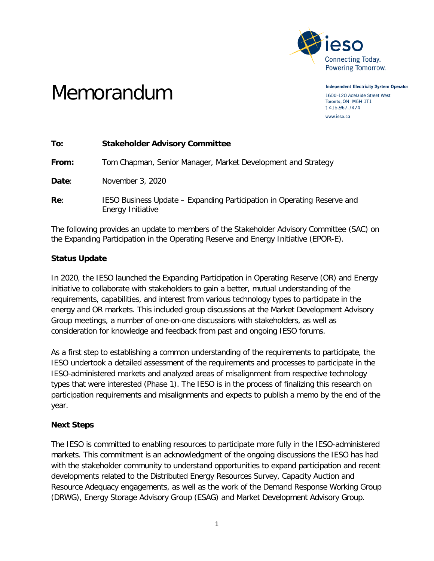

Memorandum

**Independent Electricity System Operator** 1600-120 Adelaide Street West Toronto, ON M5H 1T1 t 416.967.7474

www.ieso.ca

| To:   | <b>Stakeholder Advisory Committee</b>                                                        |
|-------|----------------------------------------------------------------------------------------------|
| From: | Tom Chapman, Senior Manager, Market Development and Strategy                                 |
| Date: | November 3, 2020                                                                             |
| Re:   | IESO Business Update – Expanding Participation in Operating Reserve and<br>Energy Initiative |

The following provides an update to members of the Stakeholder Advisory Committee (SAC) on the Expanding Participation in the Operating Reserve and Energy Initiative (EPOR-E).

## **Status Update**

In 2020, the IESO launched the Expanding Participation in Operating Reserve (OR) and Energy initiative to collaborate with stakeholders to gain a better, mutual understanding of the requirements, capabilities, and interest from various technology types to participate in the energy and OR markets. This included group discussions at the Market Development Advisory Group meetings, a number of one-on-one discussions with stakeholders, as well as consideration for knowledge and feedback from past and ongoing IESO forums.

As a first step to establishing a common understanding of the requirements to participate, the IESO undertook a detailed assessment of the requirements and processes to participate in the IESO-administered markets and analyzed areas of misalignment from respective technology types that were interested (Phase 1). The IESO is in the process of finalizing this research on participation requirements and misalignments and expects to publish a memo by the end of the year.

## **Next Steps**

The IESO is committed to enabling resources to participate more fully in the IESO-administered markets. This commitment is an acknowledgment of the ongoing discussions the IESO has had with the stakeholder community to understand opportunities to expand participation and recent developments related to the Distributed Energy Resources Survey, Capacity Auction and Resource Adequacy engagements, as well as the work of the Demand Response Working Group (DRWG), Energy Storage Advisory Group (ESAG) and Market Development Advisory Group.